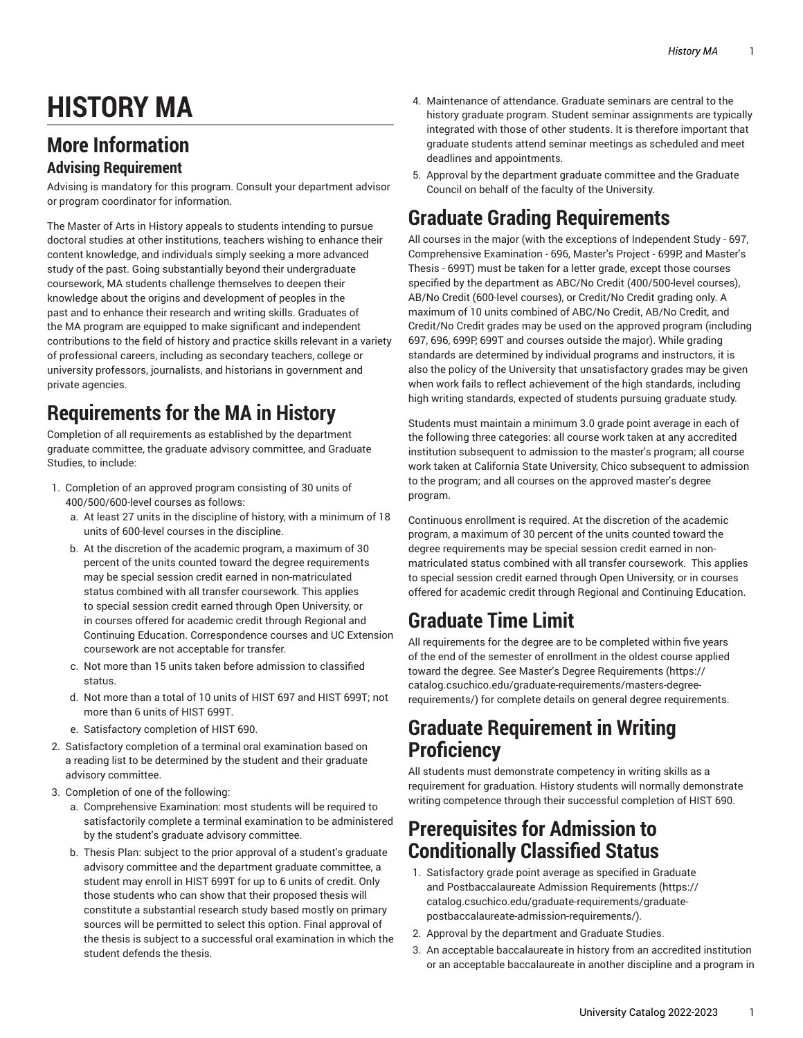# **HISTORY MA**

# **More Information**

#### **Advising Requirement**

Advising is mandatory for this program. Consult your department advisor or program coordinator for information.

The Master of Arts in History appeals to students intending to pursue doctoral studies at other institutions, teachers wishing to enhance their content knowledge, and individuals simply seeking a more advanced study of the past. Going substantially beyond their undergraduate coursework, MA students challenge themselves to deepen their knowledge about the origins and development of peoples in the past and to enhance their research and writing skills. Graduates of the MA program are equipped to make significant and independent contributions to the field of history and practice skills relevant in a variety of professional careers, including as secondary teachers, college or university professors, journalists, and historians in government and private agencies.

# **Requirements for the MA in History**

Completion of all requirements as established by the department graduate committee, the graduate advisory committee, and Graduate Studies, to include:

- 1. Completion of an approved program consisting of 30 units of 400/500/600-level courses as follows:
	- a. At least 27 units in the discipline of history, with a minimum of 18 units of 600-level courses in the discipline.
	- b. At the discretion of the academic program, a maximum of 30 percent of the units counted toward the degree requirements may be special session credit earned in non-matriculated status combined with all transfer coursework. This applies to special session credit earned through Open University, or in courses offered for academic credit through Regional and Continuing Education. Correspondence courses and UC Extension coursework are not acceptable for transfer.
	- c. Not more than 15 units taken before admission to classified status.
	- d. Not more than a total of 10 units of HIST 697 and HIST 699T; not more than 6 units of HIST 699T.
	- e. Satisfactory completion of HIST 690.
- 2. Satisfactory completion of a terminal oral examination based on a reading list to be determined by the student and their graduate advisory committee.
- 3. Completion of one of the following:
	- a. Comprehensive Examination: most students will be required to satisfactorily complete a terminal examination to be administered by the student's graduate advisory committee.
	- b. Thesis Plan: subject to the prior approval of a student's graduate advisory committee and the department graduate committee, a student may enroll in HIST 699T for up to 6 units of credit. Only those students who can show that their proposed thesis will constitute a substantial research study based mostly on primary sources will be permitted to select this option. Final approval of the thesis is subject to a successful oral examination in which the student defends the thesis.
- 4. Maintenance of attendance. Graduate seminars are central to the history graduate program. Student seminar assignments are typically integrated with those of other students. It is therefore important that graduate students attend seminar meetings as scheduled and meet deadlines and appointments.
- 5. Approval by the department graduate committee and the Graduate Council on behalf of the faculty of the University.

## **Graduate Grading Requirements**

All courses in the major (with the exceptions of Independent Study - 697, Comprehensive Examination - 696, Master's Project - 699P, and Master's Thesis - 699T) must be taken for a letter grade, except those courses specified by the department as ABC/No Credit (400/500-level courses), AB/No Credit (600-level courses), or Credit/No Credit grading only. A maximum of 10 units combined of ABC/No Credit, AB/No Credit, and Credit/No Credit grades may be used on the approved program (including 697, 696, 699P, 699T and courses outside the major). While grading standards are determined by individual programs and instructors, it is also the policy of the University that unsatisfactory grades may be given when work fails to reflect achievement of the high standards, including high writing standards, expected of students pursuing graduate study.

Students must maintain a minimum 3.0 grade point average in each of the following three categories: all course work taken at any accredited institution subsequent to admission to the master's program; all course work taken at California State University, Chico subsequent to admission to the program; and all courses on the approved master's degree program.

Continuous enrollment is required. At the discretion of the academic program, a maximum of 30 percent of the units counted toward the degree requirements may be special session credit earned in nonmatriculated status combined with all transfer coursework. This applies to special session credit earned through Open University, or in courses offered for academic credit through Regional and Continuing Education.

# **Graduate Time Limit**

All requirements for the degree are to be completed within five years of the end of the semester of enrollment in the oldest course applied toward the degree. See Master's Degree [Requirements](https://catalog.csuchico.edu/graduate-requirements/masters-degree-requirements/) ([https://](https://catalog.csuchico.edu/graduate-requirements/masters-degree-requirements/) [catalog.csuchico.edu/graduate-requirements/masters-degree](https://catalog.csuchico.edu/graduate-requirements/masters-degree-requirements/)[requirements/](https://catalog.csuchico.edu/graduate-requirements/masters-degree-requirements/)) for complete details on general degree requirements.

### **Graduate Requirement in Writing Proficiency**

All students must demonstrate competency in writing skills as a requirement for graduation. History students will normally demonstrate writing competence through their successful completion of HIST 690.

#### **Prerequisites for Admission to Conditionally Classified Status**

- 1. Satisfactory grade point average as specified in [Graduate](https://catalog.csuchico.edu/graduate-requirements/graduate-postbaccalaureate-admission-requirements/) and [Postbaccalaureate](https://catalog.csuchico.edu/graduate-requirements/graduate-postbaccalaureate-admission-requirements/) Admission Requirements [\(https://](https://catalog.csuchico.edu/graduate-requirements/graduate-postbaccalaureate-admission-requirements/) [catalog.csuchico.edu/graduate-requirements/graduate](https://catalog.csuchico.edu/graduate-requirements/graduate-postbaccalaureate-admission-requirements/)[postbaccalaureate-admission-requirements/](https://catalog.csuchico.edu/graduate-requirements/graduate-postbaccalaureate-admission-requirements/))*.*
- 2. Approval by the department and Graduate Studies.
- 3. An acceptable baccalaureate in history from an accredited institution or an acceptable baccalaureate in another discipline and a program in